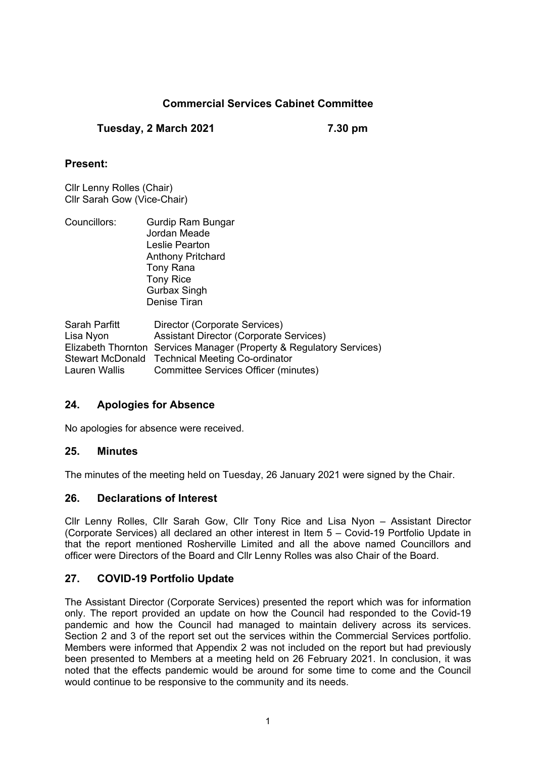# **Commercial Services Cabinet Committee**

**Tuesday, 2 March 2021 7.30 pm**

# **Present:**

Cllr Lenny Rolles (Chair) Cllr Sarah Gow (Vice-Chair)

| Councillors: | Gurdip Ram Bungar<br>Jordan Meade |  |
|--------------|-----------------------------------|--|
|              |                                   |  |
|              | Leslie Pearton                    |  |
|              | <b>Anthony Pritchard</b>          |  |
|              | Tony Rana                         |  |
|              | <b>Tony Rice</b>                  |  |
|              | <b>Gurbax Singh</b>               |  |
|              | Denise Tiran                      |  |
|              |                                   |  |

Sarah Parfitt Director (Corporate Services) Lisa Nyon Assistant Director (Corporate Services) Elizabeth Thornton Services Manager (Property & Regulatory Services) Stewart McDonald Technical Meeting Co-ordinator Lauren Wallis Committee Services Officer (minutes)

# **24. Apologies for Absence**

No apologies for absence were received.

#### **25. Minutes**

The minutes of the meeting held on Tuesday, 26 January 2021 were signed by the Chair.

# **26. Declarations of Interest**

Cllr Lenny Rolles, Cllr Sarah Gow, Cllr Tony Rice and Lisa Nyon – Assistant Director (Corporate Services) all declared an other interest in Item 5 – Covid-19 Portfolio Update in that the report mentioned Rosherville Limited and all the above named Councillors and officer were Directors of the Board and Cllr Lenny Rolles was also Chair of the Board.

# **27. COVID-19 Portfolio Update**

The Assistant Director (Corporate Services) presented the report which was for information only. The report provided an update on how the Council had responded to the Covid-19 pandemic and how the Council had managed to maintain delivery across its services. Section 2 and 3 of the report set out the services within the Commercial Services portfolio. Members were informed that Appendix 2 was not included on the report but had previously been presented to Members at a meeting held on 26 February 2021. In conclusion, it was noted that the effects pandemic would be around for some time to come and the Council would continue to be responsive to the community and its needs.